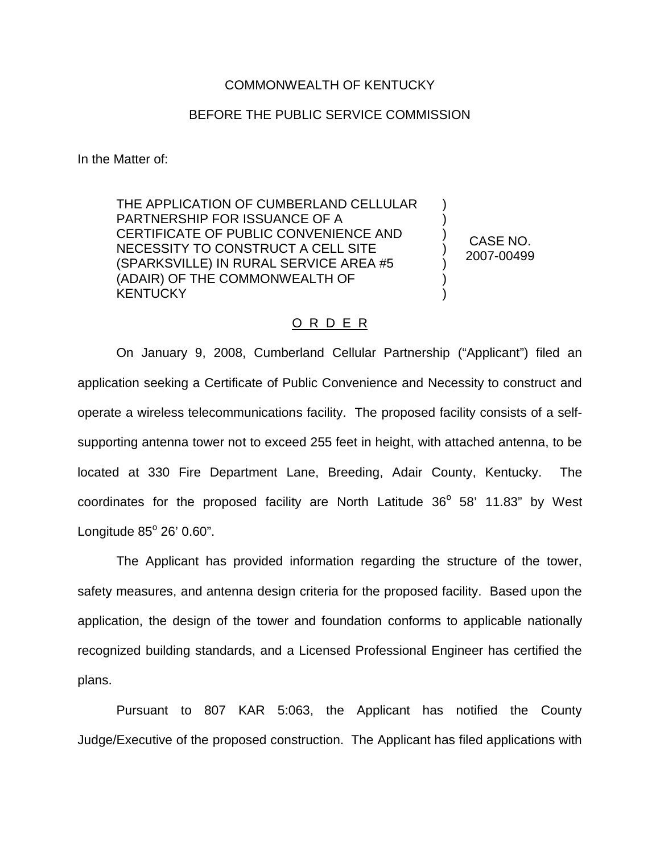## COMMONWEALTH OF KENTUCKY

## BEFORE THE PUBLIC SERVICE COMMISSION

In the Matter of:

THE APPLICATION OF CUMBERLAND CELLULAR PARTNERSHIP FOR ISSUANCE OF A CERTIFICATE OF PUBLIC CONVENIENCE AND NECESSITY TO CONSTRUCT A CELL SITE (SPARKSVILLE) IN RURAL SERVICE AREA #5 (ADAIR) OF THE COMMONWEALTH OF **KENTUCKY** 

CASE NO. 2007-00499

) ) ) ) ) ) )

## O R D E R

On January 9, 2008, Cumberland Cellular Partnership ("Applicant") filed an application seeking a Certificate of Public Convenience and Necessity to construct and operate a wireless telecommunications facility. The proposed facility consists of a selfsupporting antenna tower not to exceed 255 feet in height, with attached antenna, to be located at 330 Fire Department Lane, Breeding, Adair County, Kentucky. The coordinates for the proposed facility are North Latitude  $36^{\circ}$  58' 11.83" by West Longitude  $85^\circ$  26' 0.60".

The Applicant has provided information regarding the structure of the tower, safety measures, and antenna design criteria for the proposed facility. Based upon the application, the design of the tower and foundation conforms to applicable nationally recognized building standards, and a Licensed Professional Engineer has certified the plans.

Pursuant to 807 KAR 5:063, the Applicant has notified the County Judge/Executive of the proposed construction. The Applicant has filed applications with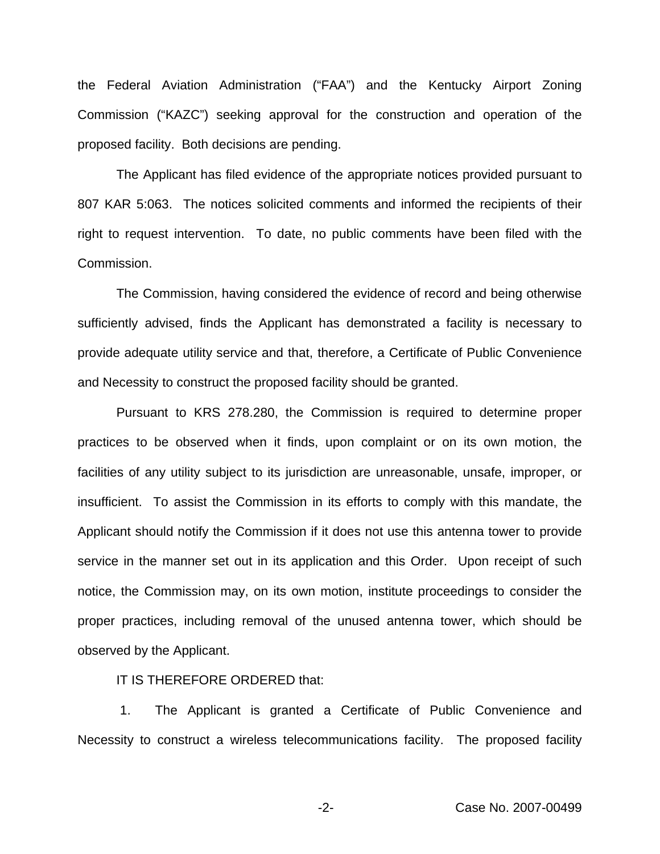the Federal Aviation Administration ("FAA") and the Kentucky Airport Zoning Commission ("KAZC") seeking approval for the construction and operation of the proposed facility. Both decisions are pending.

The Applicant has filed evidence of the appropriate notices provided pursuant to 807 KAR 5:063. The notices solicited comments and informed the recipients of their right to request intervention. To date, no public comments have been filed with the Commission.

The Commission, having considered the evidence of record and being otherwise sufficiently advised, finds the Applicant has demonstrated a facility is necessary to provide adequate utility service and that, therefore, a Certificate of Public Convenience and Necessity to construct the proposed facility should be granted.

Pursuant to KRS 278.280, the Commission is required to determine proper practices to be observed when it finds, upon complaint or on its own motion, the facilities of any utility subject to its jurisdiction are unreasonable, unsafe, improper, or insufficient. To assist the Commission in its efforts to comply with this mandate, the Applicant should notify the Commission if it does not use this antenna tower to provide service in the manner set out in its application and this Order. Upon receipt of such notice, the Commission may, on its own motion, institute proceedings to consider the proper practices, including removal of the unused antenna tower, which should be observed by the Applicant.

IT IS THEREFORE ORDERED that:

1. The Applicant is granted a Certificate of Public Convenience and Necessity to construct a wireless telecommunications facility. The proposed facility